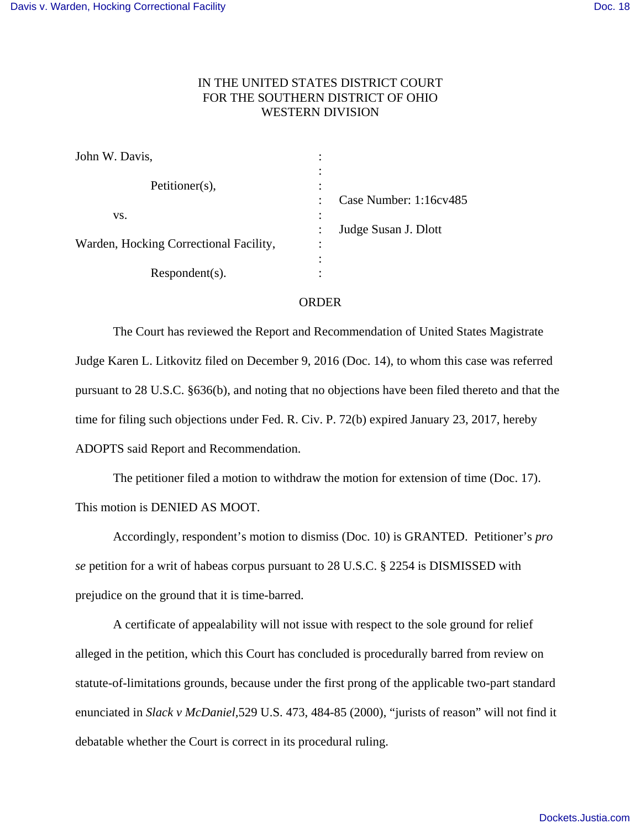## IN THE UNITED STATES DISTRICT COURT FOR THE SOUTHERN DISTRICT OF OHIO WESTERN DIVISION

| John W. Davis,                         |                                     |
|----------------------------------------|-------------------------------------|
| Petitioner(s),                         | ٠<br>$\bullet$                      |
|                                        | Case Number: 1:16cv485<br>$\bullet$ |
| VS.                                    | $\bullet$                           |
|                                        | Judge Susan J. Dlott                |
| Warden, Hocking Correctional Facility, | ٠<br>$\bullet$                      |
|                                        |                                     |
| Respondent(s).                         |                                     |

## ORDER

The Court has reviewed the Report and Recommendation of United States Magistrate Judge Karen L. Litkovitz filed on December 9, 2016 (Doc. 14), to whom this case was referred pursuant to 28 U.S.C. §636(b), and noting that no objections have been filed thereto and that the time for filing such objections under Fed. R. Civ. P. 72(b) expired January 23, 2017, hereby ADOPTS said Report and Recommendation.

The petitioner filed a motion to withdraw the motion for extension of time (Doc. 17). This motion is DENIED AS MOOT.

Accordingly, respondent's motion to dismiss (Doc. 10) is GRANTED. Petitioner's *pro se* petition for a writ of habeas corpus pursuant to 28 U.S.C. § 2254 is DISMISSED with prejudice on the ground that it is time-barred.

A certificate of appealability will not issue with respect to the sole ground for relief alleged in the petition, which this Court has concluded is procedurally barred from review on statute-of-limitations grounds, because under the first prong of the applicable two-part standard enunciated in *Slack v McDaniel,*529 U.S. 473, 484-85 (2000), "jurists of reason" will not find it debatable whether the Court is correct in its procedural ruling.